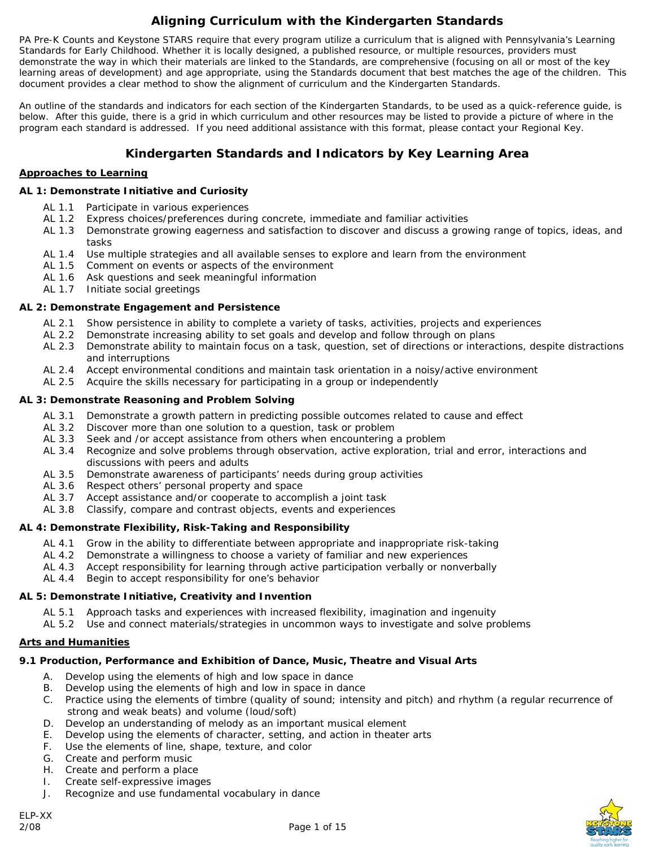# **Aligning Curriculum with the Kindergarten Standards**

PA Pre-K Counts and Keystone STARS require that every program utilize a curriculum that is aligned with Pennsylvania's Learning Standards for Early Childhood. Whether it is locally designed, a published resource, or multiple resources, providers must demonstrate the way in which their materials are linked to the Standards, are comprehensive (focusing on all or most of the key learning areas of development) and age appropriate, using the Standards document that best matches the age of the children. This document provides a clear method to show the alignment of curriculum and the Kindergarten Standards.

An outline of the standards and indicators for each section of the Kindergarten Standards, to be used as a quick-reference guide, is below. After this guide, there is a grid in which curriculum and other resources may be listed to provide a picture of where in the program each standard is addressed. If you need additional assistance with this format, please contact your Regional Key.

## **Kindergarten Standards and Indicators by Key Learning Area**

#### **Approaches to Learning**

#### *AL 1: Demonstrate Initiative and Curiosity*

- AL 1.1 Participate in various experiences
- AL 1.2 Express choices/preferences during concrete, immediate and familiar activities
- AL 1.3 Demonstrate growing eagerness and satisfaction to discover and discuss a growing range of topics, ideas, and tasks
- AL 1.4 Use multiple strategies and all available senses to explore and learn from the environment<br>AL 1.5 Comment on events or aspects of the environment
- Comment on events or aspects of the environment
- AL 1.6 Ask questions and seek meaningful information
- AL 1.7 Initiate social greetings

#### *AL 2: Demonstrate Engagement and Persistence*

- AL 2.1 Show persistence in ability to complete a variety of tasks, activities, projects and experiences
- AL 2.2 Demonstrate increasing ability to set goals and develop and follow through on plans
- AL 2.3 Demonstrate ability to maintain focus on a task, question, set of directions or interactions, despite distractions and interruptions
- AL 2.4 Accept environmental conditions and maintain task orientation in a noisy/active environment
- AL 2.5 Acquire the skills necessary for participating in a group or independently

#### *AL 3: Demonstrate Reasoning and Problem Solving*

- AL 3.1 Demonstrate a growth pattern in predicting possible outcomes related to cause and effect
- AL 3.2 Discover more than one solution to a question, task or problem
- AL 3.3 Seek and /or accept assistance from others when encountering a problem
- AL 3.4 Recognize and solve problems through observation, active exploration, trial and error, interactions and discussions with peers and adults
- AL 3.5 Demonstrate awareness of participants' needs during group activities
- AL 3.6 Respect others' personal property and space
- AL 3.7 Accept assistance and/or cooperate to accomplish a joint task
- AL 3.8 Classify, compare and contrast objects, events and experiences

#### *AL 4: Demonstrate Flexibility, Risk-Taking and Responsibility*

- AL 4.1 Grow in the ability to differentiate between appropriate and inappropriate risk-taking
- AL 4.2 Demonstrate a willingness to choose a variety of familiar and new experiences
- AL 4.3 Accept responsibility for learning through active participation verbally or nonverbally
- AL 4.4 Begin to accept responsibility for one's behavior

#### *AL 5: Demonstrate Initiative, Creativity and Invention*

- AL 5.1 Approach tasks and experiences with increased flexibility, imagination and ingenuity
- AL 5.2 Use and connect materials/strategies in uncommon ways to investigate and solve problems

#### **Arts and Humanities**

## *9.1 Production, Performance and Exhibition of Dance, Music, Theatre and Visual Arts*

- A. Develop using the elements of high and low space in dance
- B. Develop using the elements of high and low in space in dance
- C. Practice using the elements of timbre (quality of sound; intensity and pitch) and rhythm (a regular recurrence of strong and weak beats) and volume (loud/soft)
- D. Develop an understanding of melody as an important musical element
- E. Develop using the elements of character, setting, and action in theater arts
- F. Use the elements of line, shape, texture, and color
- G. Create and perform music
- H. Create and perform a place
- I. Create self-expressive images
- J. Recognize and use fundamental vocabulary in dance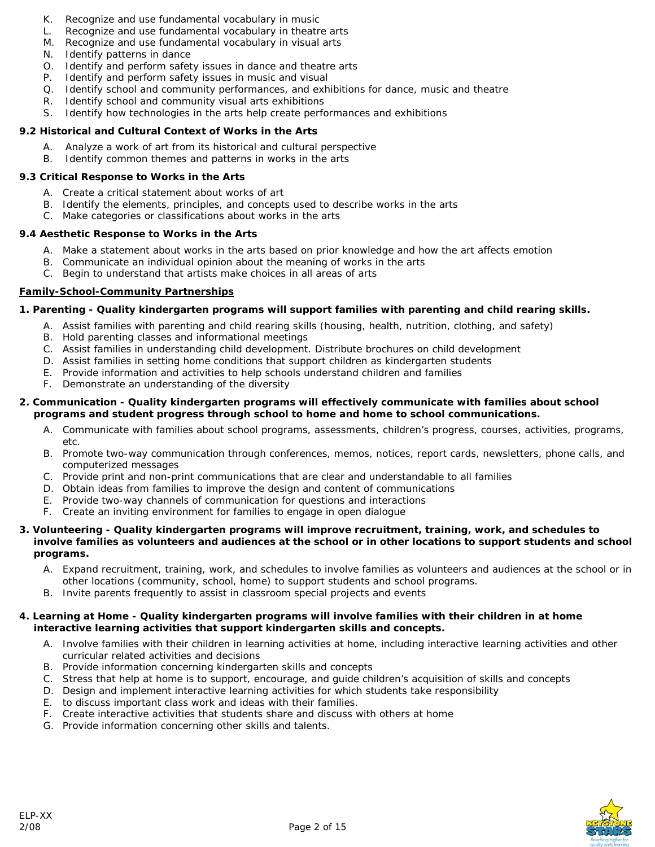- K. Recognize and use fundamental vocabulary in music
- L. Recognize and use fundamental vocabulary in theatre arts
- M. Recognize and use fundamental vocabulary in visual arts
- N. Identify patterns in dance
- O. Identify and perform safety issues in dance and theatre arts
- P. Identify and perform safety issues in music and visual
- Q. Identify school and community performances, and exhibitions for dance, music and theatre
- R. Identify school and community visual arts exhibitions
- S. Identify how technologies in the arts help create performances and exhibitions

#### *9.2 Historical and Cultural Context of Works in the Arts*

- Analyze a work of art from its historical and cultural perspective
- B. Identify common themes and patterns in works in the arts

#### *9.3 Critical Response to Works in the Arts*

- A. Create a critical statement about works of art
- B. Identify the elements, principles, and concepts used to describe works in the arts
- C. Make categories or classifications about works in the arts

#### *9.4 Aesthetic Response to Works in the Arts*

- A. Make a statement about works in the arts based on prior knowledge and how the art affects emotion
- B. Communicate an individual opinion about the meaning of works in the arts
- C. Begin to understand that artists make choices in all areas of arts

#### **Family-School-Community Partnerships**

#### *1. Parenting - Quality kindergarten programs will support families with parenting and child rearing skills.*

- A. Assist families with parenting and child rearing skills (housing, health, nutrition, clothing, and safety)
- B. Hold parenting classes and informational meetings
- C. Assist families in understanding child development. Distribute brochures on child development
- D. Assist families in setting home conditions that support children as kindergarten students
- E. Provide information and activities to help schools understand children and families
- F. Demonstrate an understanding of the diversity

#### *2. Communication - Quality kindergarten programs will effectively communicate with families about school programs and student progress through school to home and home to school communications.*

- A. Communicate with families about school programs, assessments, children's progress, courses, activities, programs, etc.
- B. Promote two-way communication through conferences, memos, notices, report cards, newsletters, phone calls, and computerized messages
- C. Provide print and non-print communications that are clear and understandable to all families
- D. Obtain ideas from families to improve the design and content of communications
- E. Provide two-way channels of communication for questions and interactions
- F. Create an inviting environment for families to engage in open dialogue

#### *3. Volunteering - Quality kindergarten programs will improve recruitment, training, work, and schedules to*  involve families as volunteers and audiences at the school or in other locations to support students and school *programs.*

- A. Expand recruitment, training, work, and schedules to involve families as volunteers and audiences at the school or in other locations (community, school, home) to support students and school programs.
- B. Invite parents frequently to assist in classroom special projects and events

#### *4. Learning at Home - Quality kindergarten programs will involve families with their children in at home interactive learning activities that support kindergarten skills and concepts.*

- A. Involve families with their children in learning activities at home, including interactive learning activities and other curricular related activities and decisions
- B. Provide information concerning kindergarten skills and concepts
- C. Stress that help at home is to support, encourage, and guide children's acquisition of skills and concepts
- D. Design and implement interactive learning activities for which students take responsibility
- E. to discuss important class work and ideas with their families.
- F. Create interactive activities that students share and discuss with others at home
- G. Provide information concerning other skills and talents.

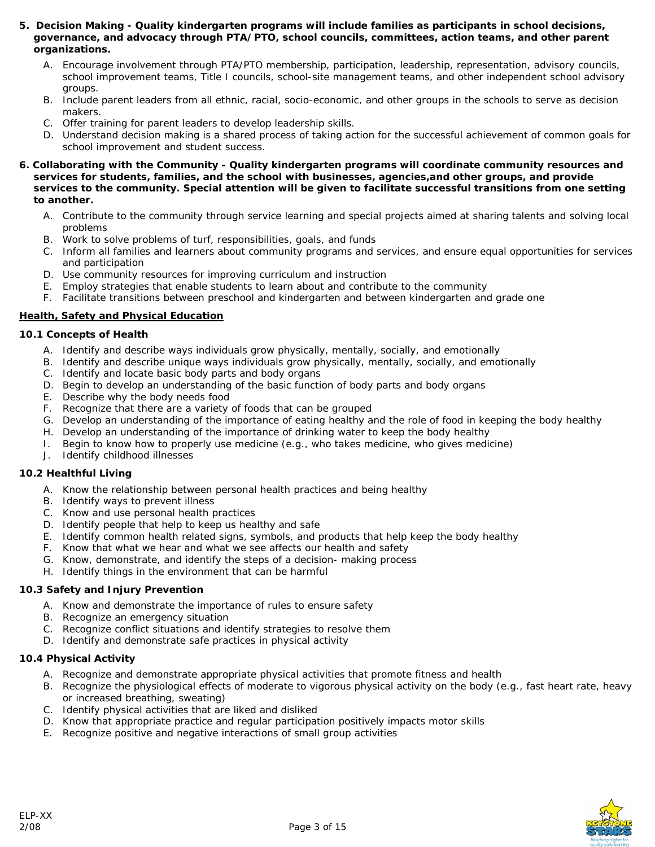- *5. Decision Making Quality kindergarten programs will include families as participants in school decisions, governance, and advocacy through PTA/PTO, school councils, committees, action teams, and other parent organizations.* 
	- A. Encourage involvement through PTA/PTO membership, participation, leadership, representation, advisory councils, school improvement teams, Title I councils, school-site management teams, and other independent school advisory groups.
	- B. Include parent leaders from all ethnic, racial, socio-economic, and other groups in the schools to serve as decision makers.
	- C. Offer training for parent leaders to develop leadership skills.
	- D. Understand decision making is a shared process of taking action for the successful achievement of common goals for school improvement and student success.

#### *6. Collaborating with the Community - Quality kindergarten programs will coordinate community resources and services for students, families, and the school with businesses, agencies,and other groups, and provide services to the community. Special attention will be given to facilitate successful transitions from one setting to another.*

- A. Contribute to the community through service learning and special projects aimed at sharing talents and solving local problems
- B. Work to solve problems of turf, responsibilities, goals, and funds
- C. Inform all families and learners about community programs and services, and ensure equal opportunities for services and participation
- D. Use community resources for improving curriculum and instruction
- E. Employ strategies that enable students to learn about and contribute to the community
- F. Facilitate transitions between preschool and kindergarten and between kindergarten and grade one

#### **Health, Safety and Physical Education**

#### *10.1 Concepts of Health*

- A. Identify and describe ways individuals grow physically, mentally, socially, and emotionally
- B. Identify and describe unique ways individuals grow physically, mentally, socially, and emotionally
- C. Identify and locate basic body parts and body organs
- D. Begin to develop an understanding of the basic function of body parts and body organs
- E. Describe why the body needs food
- F. Recognize that there are a variety of foods that can be grouped
- G. Develop an understanding of the importance of eating healthy and the role of food in keeping the body healthy
- H. Develop an understanding of the importance of drinking water to keep the body healthy
- I. Begin to know how to properly use medicine (e.g., who takes medicine, who gives medicine)
- J. Identify childhood illnesses

#### *10.2 Healthful Living*

- A. Know the relationship between personal health practices and being healthy
- B. Identify ways to prevent illness
- C. Know and use personal health practices
- D. Identify people that help to keep us healthy and safe
- E. Identify common health related signs, symbols, and products that help keep the body healthy
- F. Know that what we hear and what we see affects our health and safety
- G. Know, demonstrate, and identify the steps of a decision- making process
- H. Identify things in the environment that can be harmful

#### *10.3 Safety and Injury Prevention*

- A. Know and demonstrate the importance of rules to ensure safety
- B. Recognize an emergency situation
- C. Recognize conflict situations and identify strategies to resolve them
- D. Identify and demonstrate safe practices in physical activity

#### *10.4 Physical Activity*

- A. Recognize and demonstrate appropriate physical activities that promote fitness and health
- B. Recognize the physiological effects of moderate to vigorous physical activity on the body (e.g., fast heart rate, heavy or increased breathing, sweating)
- C. Identify physical activities that are liked and disliked
- D. Know that appropriate practice and regular participation positively impacts motor skills
- E. Recognize positive and negative interactions of small group activities

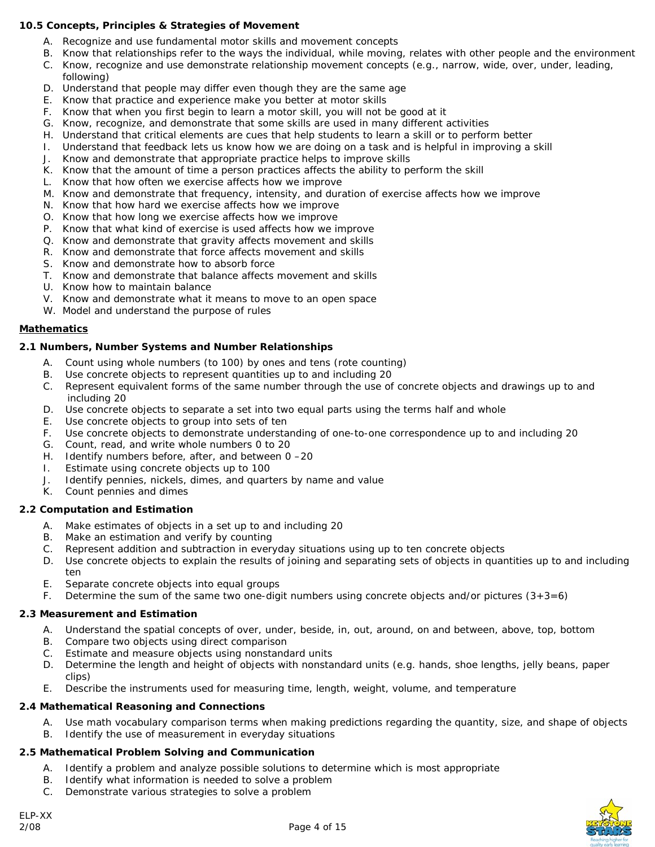#### *10.5 Concepts, Principles & Strategies of Movement*

- A. Recognize and use fundamental motor skills and movement concepts
- B. Know that relationships refer to the ways the individual, while moving, relates with other people and the environment
- C. Know, recognize and use demonstrate relationship movement concepts (e.g., narrow, wide, over, under, leading, following)
- D. Understand that people may differ even though they are the same age
- E. Know that practice and experience make you better at motor skills
- F. Know that when you first begin to learn a motor skill, you will not be good at it
- G. Know, recognize, and demonstrate that some skills are used in many different activities
- H. Understand that critical elements are cues that help students to learn a skill or to perform better
- I. Understand that feedback lets us know how we are doing on a task and is helpful in improving a skill
- J. Know and demonstrate that appropriate practice helps to improve skills
- K. Know that the amount of time a person practices affects the ability to perform the skill
- L. Know that how often we exercise affects how we improve
- M. Know and demonstrate that frequency, intensity, and duration of exercise affects how we improve
- N. Know that how hard we exercise affects how we improve
- O. Know that how long we exercise affects how we improve
- P. Know that what kind of exercise is used affects how we improve
- Q. Know and demonstrate that gravity affects movement and skills
- R. Know and demonstrate that force affects movement and skills
- S. Know and demonstrate how to absorb force
- T. Know and demonstrate that balance affects movement and skills
- U. Know how to maintain balance
- V. Know and demonstrate what it means to move to an open space
- W. Model and understand the purpose of rules

#### **Mathematics**

#### *2.1 Numbers, Number Systems and Number Relationships*

- A. Count using whole numbers (to 100) by ones and tens (rote counting)
- B. Use concrete objects to represent quantities up to and including 20
- C. Represent equivalent forms of the same number through the use of concrete objects and drawings up to and including 20
- D. Use concrete objects to separate a set into two equal parts using the terms half and whole
- E. Use concrete objects to group into sets of ten
- F. Use concrete objects to demonstrate understanding of one-to-one correspondence up to and including 20
- G. Count, read, and write whole numbers 0 to 20
- H. Identify numbers before, after, and between 0 –20
- I. Estimate using concrete objects up to 100
- J. Identify pennies, nickels, dimes, and quarters by name and value
- K. Count pennies and dimes

### *2.2 Computation and Estimation*

- A. Make estimates of objects in a set up to and including 20
- B. Make an estimation and verify by counting
- C. Represent addition and subtraction in everyday situations using up to ten concrete objects
- D. Use concrete objects to explain the results of joining and separating sets of objects in quantities up to and including ten
- E. Separate concrete objects into equal groups
- F. Determine the sum of the same two one-digit numbers using concrete objects and/or pictures  $(3+3=6)$

### *2.3 Measurement and Estimation*

- A. Understand the spatial concepts of over, under, beside, in, out, around, on and between, above, top, bottom
- B. Compare two objects using direct comparison
- C. Estimate and measure objects using nonstandard units
- D. Determine the length and height of objects with nonstandard units (e.g. hands, shoe lengths, jelly beans, paper clips)
- E. Describe the instruments used for measuring time, length, weight, volume, and temperature

#### *2.4 Mathematical Reasoning and Connections*

- A. Use math vocabulary comparison terms when making predictions regarding the quantity, size, and shape of objects
- B. Identify the use of measurement in everyday situations

### *2.5 Mathematical Problem Solving and Communication*

- A. Identify a problem and analyze possible solutions to determine which is most appropriate
- B. Identify what information is needed to solve a problem
- C. Demonstrate various strategies to solve a problem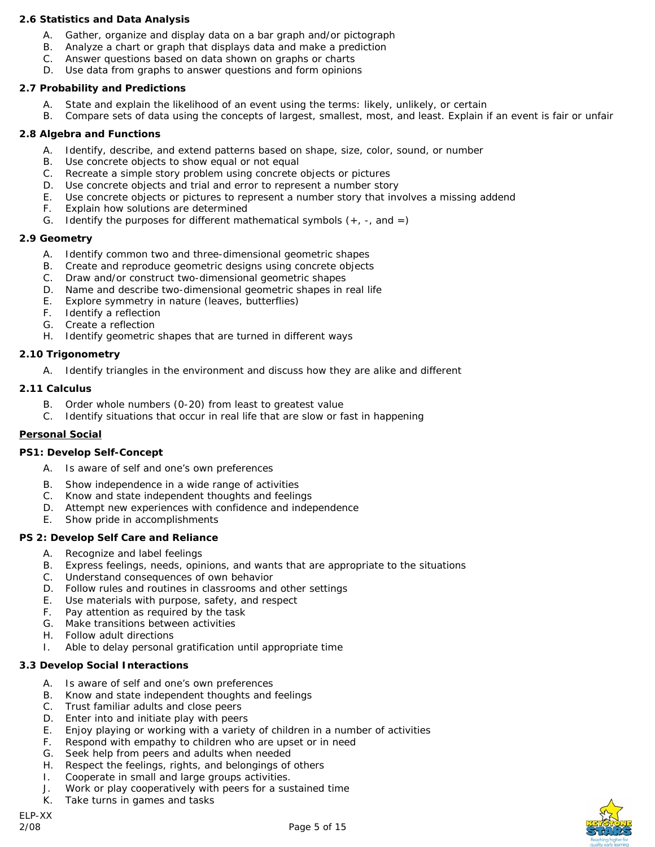#### *2.6 Statistics and Data Analysis*

- A. Gather, organize and display data on a bar graph and/or pictograph
- B. Analyze a chart or graph that displays data and make a prediction
- C. Answer questions based on data shown on graphs or charts
- D. Use data from graphs to answer questions and form opinions

#### *2.7 Probability and Predictions*

- A. State and explain the likelihood of an event using the terms: likely, unlikely, or certain
- B. Compare sets of data using the concepts of largest, smallest, most, and least. Explain if an event is fair or unfair

#### *2.8 Algebra and Functions*

- A. Identify, describe, and extend patterns based on shape, size, color, sound, or number
- B. Use concrete objects to show equal or not equal
- C. Recreate a simple story problem using concrete objects or pictures
- D. Use concrete objects and trial and error to represent a number story
- E. Use concrete objects or pictures to represent a number story that involves a missing addend F. Explain how solutions are determined
- Explain how solutions are determined
- G. Identify the purposes for different mathematical symbols  $(+, -, \text{ and } =)$

#### *2.9 Geometry*

- A. Identify common two and three-dimensional geometric shapes
- B. Create and reproduce geometric designs using concrete objects
- C. Draw and/or construct two-dimensional geometric shapes
- D. Name and describe two-dimensional geometric shapes in real life
- E. Explore symmetry in nature (leaves, butterflies)
- F. Identify a reflection
- G. Create a reflection
- H. Identify geometric shapes that are turned in different ways

#### *2.10 Trigonometry*

A. Identify triangles in the environment and discuss how they are alike and different

#### *2.11 Calculus*

- B. Order whole numbers (0-20) from least to greatest value
- C. Identify situations that occur in real life that are slow or fast in happening

#### **Personal Social**

#### *PS1: Develop Self-Concept*

- A. Is aware of self and one's own preferences
- B. Show independence in a wide range of activities
- C. Know and state independent thoughts and feelings
- D. Attempt new experiences with confidence and independence
- E. Show pride in accomplishments

#### *PS 2: Develop Self Care and Reliance*

- A. Recognize and label feelings
- B. Express feelings, needs, opinions, and wants that are appropriate to the situations
- C. Understand consequences of own behavior
- D. Follow rules and routines in classrooms and other settings
- E. Use materials with purpose, safety, and respect
- F. Pay attention as required by the task
- G. Make transitions between activities
- H. Follow adult directions
- I. Able to delay personal gratification until appropriate time

#### *3.3 Develop Social Interactions*

- A. Is aware of self and one's own preferences
- B. Know and state independent thoughts and feelings
- C. Trust familiar adults and close peers
- D. Enter into and initiate play with peers
- E. Enjoy playing or working with a variety of children in a number of activities
- F. Respond with empathy to children who are upset or in need
- G. Seek help from peers and adults when needed
- H. Respect the feelings, rights, and belongings of others
- I. Cooperate in small and large groups activities.
- J. Work or play cooperatively with peers for a sustained time
- K. Take turns in games and tasks



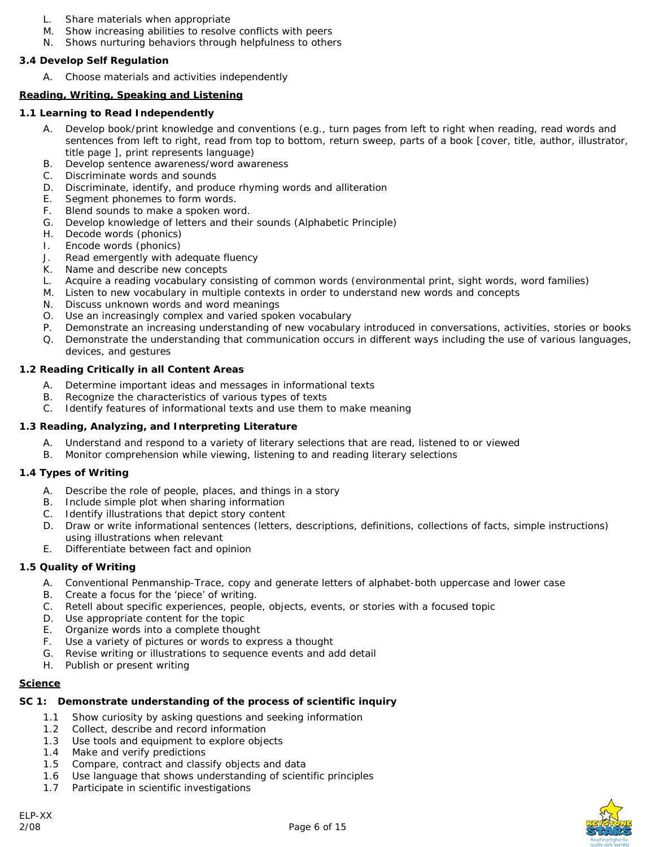- L. Share materials when appropriate
- M. Show increasing abilities to resolve conflicts with peers
- N. Shows nurturing behaviors through helpfulness to others

### *3.4 Develop Self Regulation*

A. Choose materials and activities independently

## **Reading, Writing, Speaking and Listening**

## *1.1 Learning to Read Independently*

- A. Develop book/print knowledge and conventions (e.g., turn pages from left to right when reading, read words and sentences from left to right, read from top to bottom, return sweep, parts of a book [cover, title, author, illustrator, title page ], print represents language)
- B. Develop sentence awareness/word awareness
- C. Discriminate words and sounds
- D. Discriminate, identify, and produce rhyming words and alliteration
- E. Segment phonemes to form words.
- F. Blend sounds to make a spoken word.
- G. Develop knowledge of letters and their sounds (Alphabetic Principle)
- H. Decode words (phonics)
- I. Encode words (phonics)
- J. Read emergently with adequate fluency
- K. Name and describe new concepts
- L. Acquire a reading vocabulary consisting of common words (environmental print, sight words, word families)
- M. Listen to new vocabulary in multiple contexts in order to understand new words and concepts
- N. Discuss unknown words and word meanings
- O. Use an increasingly complex and varied spoken vocabulary
- P. Demonstrate an increasing understanding of new vocabulary introduced in conversations, activities, stories or books
- Q. Demonstrate the understanding that communication occurs in different ways including the use of various languages, devices, and gestures

#### *1.2 Reading Critically in all Content Areas*

- A. Determine important ideas and messages in informational texts
- B. Recognize the characteristics of various types of texts
- C. Identify features of informational texts and use them to make meaning

#### *1.3 Reading, Analyzing, and Interpreting Literature*

- A. Understand and respond to a variety of literary selections that are read, listened to or viewed
- B. Monitor comprehension while viewing, listening to and reading literary selections

#### *1.4 Types of Writing*

- A. Describe the role of people, places, and things in a story
- B. Include simple plot when sharing information
- C. Identify illustrations that depict story content
- D. Draw or write informational sentences (letters, descriptions, definitions, collections of facts, simple instructions) using illustrations when relevant
- E. Differentiate between fact and opinion

#### *1.5 Quality of Writing*

- A. Conventional Penmanship-Trace, copy and generate letters of alphabet-both uppercase and lower case
- B. Create a focus for the 'piece' of writing.
- C. Retell about specific experiences, people, objects, events, or stories with a focused topic
- D. Use appropriate content for the topic
- E. Organize words into a complete thought
- F. Use a variety of pictures or words to express a thought
- G. Revise writing or illustrations to sequence events and add detail
- H. Publish or present writing

#### **Science**

#### *SC 1: Demonstrate understanding of the process of scientific inquiry*

- 1.1 Show curiosity by asking questions and seeking information
- 1.2 Collect, describe and record information
- 1.3 Use tools and equipment to explore objects
- 1.4 Make and verify predictions
- 1.5 Compare, contract and classify objects and data
- 1.6 Use language that shows understanding of scientific principles
- 1.7 Participate in scientific investigations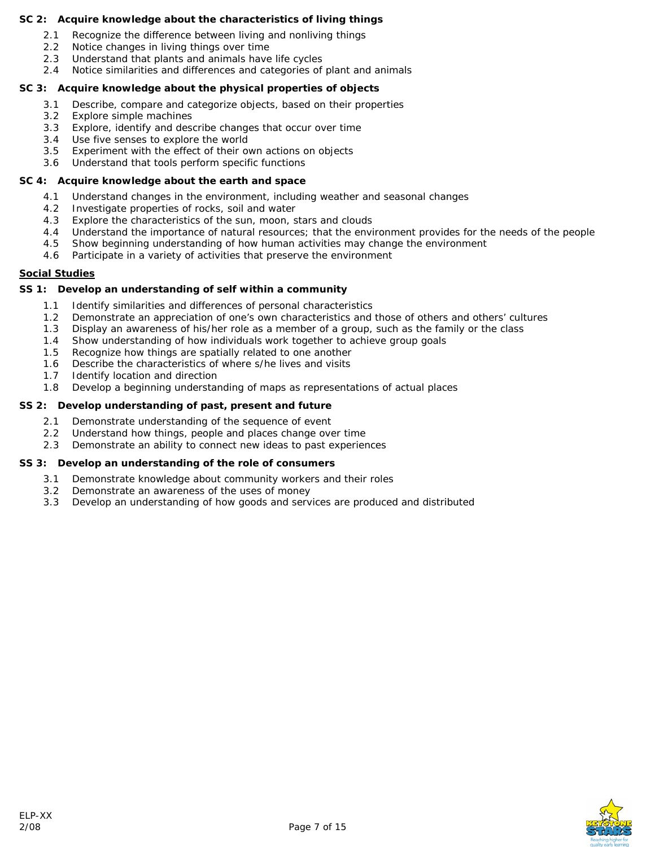#### *SC 2: Acquire knowledge about the characteristics of living things*

- 2.1 Recognize the difference between living and nonliving things
- 2.2 Notice changes in living things over time
- 2.3 Understand that plants and animals have life cycles
- 2.4 Notice similarities and differences and categories of plant and animals

#### *SC 3: Acquire knowledge about the physical properties of objects*

- 3.1 Describe, compare and categorize objects, based on their properties
- 3.2 Explore simple machines
- 3.3 Explore, identify and describe changes that occur over time
- 3.4 Use five senses to explore the world
- 3.5 Experiment with the effect of their own actions on objects
- 3.6 Understand that tools perform specific functions

#### *SC 4: Acquire knowledge about the earth and space*

- 4.1 Understand changes in the environment, including weather and seasonal changes
- 4.2 Investigate properties of rocks, soil and water
- 4.3 Explore the characteristics of the sun, moon, stars and clouds
- 4.4 Understand the importance of natural resources; that the environment provides for the needs of the people
- 4.5 Show beginning understanding of how human activities may change the environment
- 4.6 Participate in a variety of activities that preserve the environment

#### **Social Studies**

#### *SS 1: Develop an understanding of self within a community*

- 1.1 Identify similarities and differences of personal characteristics
- 1.2 Demonstrate an appreciation of one's own characteristics and those of others and others' cultures
- 1.3 Display an awareness of his/her role as a member of a group, such as the family or the class
- 1.4 Show understanding of how individuals work together to achieve group goals
- 1.5 Recognize how things are spatially related to one another
- 1.6 Describe the characteristics of where s/he lives and visits
- 1.7 Identify location and direction
- 1.8 Develop a beginning understanding of maps as representations of actual places

#### *SS 2: Develop understanding of past, present and future*

- 2.1 Demonstrate understanding of the sequence of event
- 2.2 Understand how things, people and places change over time
- 2.3 Demonstrate an ability to connect new ideas to past experiences

#### *SS 3: Develop an understanding of the role of consumers*

- 3.1 Demonstrate knowledge about community workers and their roles
- 3.2 Demonstrate an awareness of the uses of money
- 3.3 Develop an understanding of how goods and services are produced and distributed

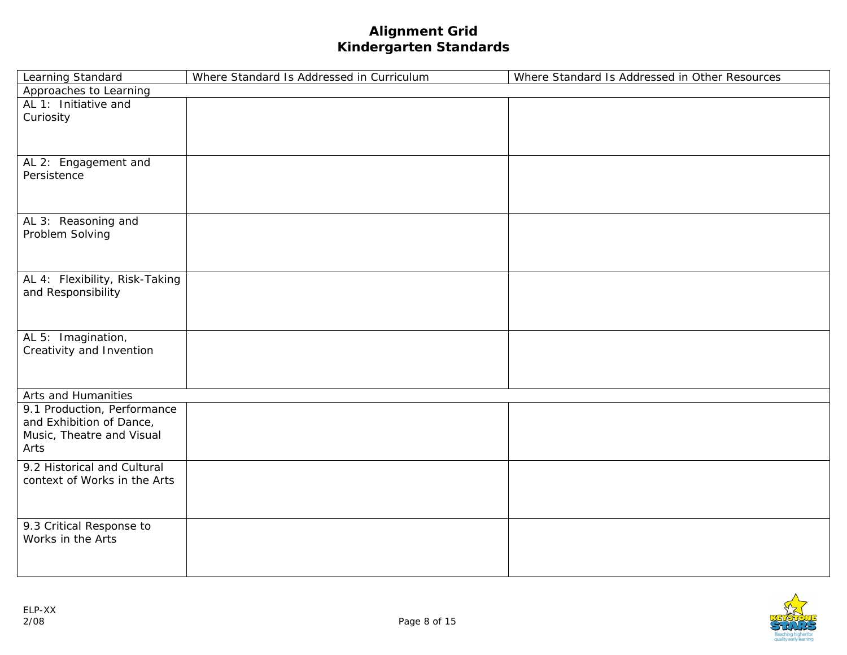# **Alignment Grid Kindergarten Standards**

| Learning Standard              | Where Standard Is Addressed in Curriculum | Where Standard Is Addressed in Other Resources |
|--------------------------------|-------------------------------------------|------------------------------------------------|
| Approaches to Learning         |                                           |                                                |
| AL 1: Initiative and           |                                           |                                                |
| Curiosity                      |                                           |                                                |
|                                |                                           |                                                |
|                                |                                           |                                                |
| AL 2: Engagement and           |                                           |                                                |
| Persistence                    |                                           |                                                |
|                                |                                           |                                                |
|                                |                                           |                                                |
| AL 3: Reasoning and            |                                           |                                                |
| Problem Solving                |                                           |                                                |
|                                |                                           |                                                |
|                                |                                           |                                                |
| AL 4: Flexibility, Risk-Taking |                                           |                                                |
| and Responsibility             |                                           |                                                |
|                                |                                           |                                                |
|                                |                                           |                                                |
|                                |                                           |                                                |
| AL 5: Imagination,             |                                           |                                                |
| Creativity and Invention       |                                           |                                                |
|                                |                                           |                                                |
|                                |                                           |                                                |
| Arts and Humanities            |                                           |                                                |
| 9.1 Production, Performance    |                                           |                                                |
| and Exhibition of Dance,       |                                           |                                                |
| Music, Theatre and Visual      |                                           |                                                |
| Arts                           |                                           |                                                |
| 9.2 Historical and Cultural    |                                           |                                                |
| context of Works in the Arts   |                                           |                                                |
|                                |                                           |                                                |
|                                |                                           |                                                |
| 9.3 Critical Response to       |                                           |                                                |
| Works in the Arts              |                                           |                                                |
|                                |                                           |                                                |
|                                |                                           |                                                |

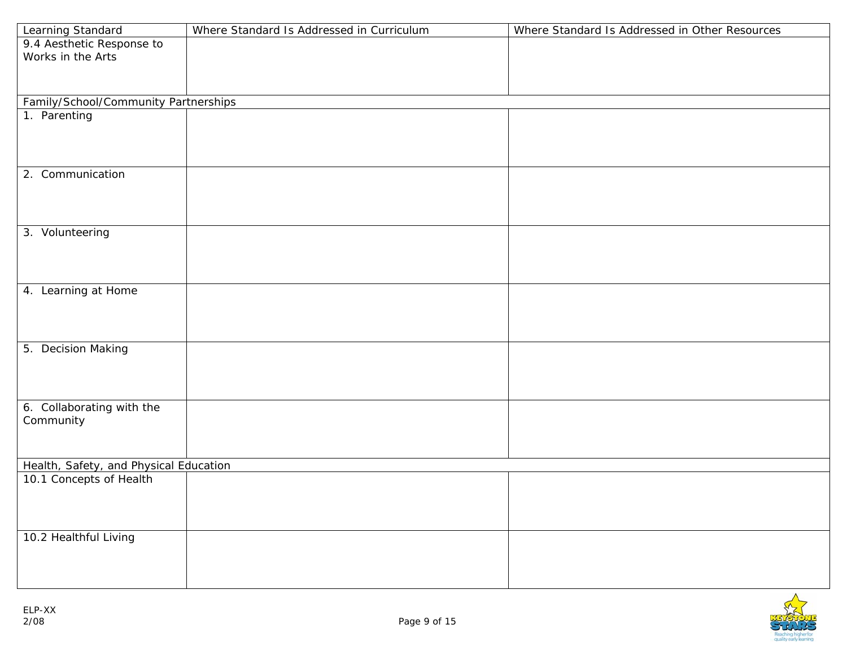| Learning Standard                                                 | Where Standard Is Addressed in Curriculum | Where Standard Is Addressed in Other Resources |
|-------------------------------------------------------------------|-------------------------------------------|------------------------------------------------|
| 9.4 Aesthetic Response to                                         |                                           |                                                |
| Works in the Arts                                                 |                                           |                                                |
|                                                                   |                                           |                                                |
|                                                                   |                                           |                                                |
| Family/School/Community Partnerships                              |                                           |                                                |
| 1. Parenting                                                      |                                           |                                                |
|                                                                   |                                           |                                                |
|                                                                   |                                           |                                                |
|                                                                   |                                           |                                                |
| 2. Communication                                                  |                                           |                                                |
|                                                                   |                                           |                                                |
|                                                                   |                                           |                                                |
|                                                                   |                                           |                                                |
| 3. Volunteering                                                   |                                           |                                                |
|                                                                   |                                           |                                                |
|                                                                   |                                           |                                                |
|                                                                   |                                           |                                                |
| 4. Learning at Home                                               |                                           |                                                |
|                                                                   |                                           |                                                |
|                                                                   |                                           |                                                |
|                                                                   |                                           |                                                |
| 5. Decision Making                                                |                                           |                                                |
|                                                                   |                                           |                                                |
|                                                                   |                                           |                                                |
|                                                                   |                                           |                                                |
| 6. Collaborating with the                                         |                                           |                                                |
| Community                                                         |                                           |                                                |
|                                                                   |                                           |                                                |
|                                                                   |                                           |                                                |
| Health, Safety, and Physical Education<br>10.1 Concepts of Health |                                           |                                                |
|                                                                   |                                           |                                                |
|                                                                   |                                           |                                                |
|                                                                   |                                           |                                                |
| 10.2 Healthful Living                                             |                                           |                                                |
|                                                                   |                                           |                                                |
|                                                                   |                                           |                                                |
|                                                                   |                                           |                                                |

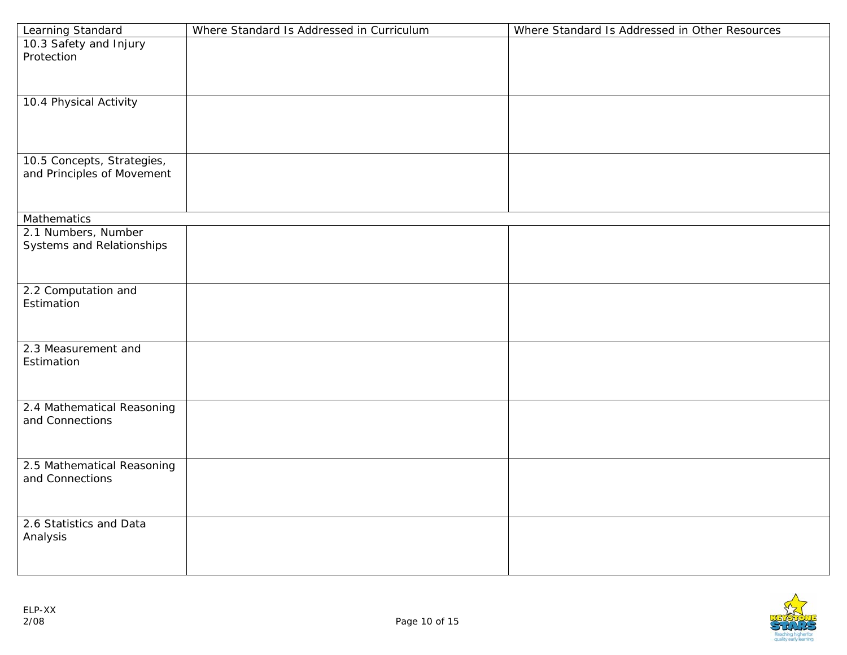| Learning Standard          | Where Standard Is Addressed in Curriculum | Where Standard Is Addressed in Other Resources |
|----------------------------|-------------------------------------------|------------------------------------------------|
| 10.3 Safety and Injury     |                                           |                                                |
| Protection                 |                                           |                                                |
|                            |                                           |                                                |
|                            |                                           |                                                |
| 10.4 Physical Activity     |                                           |                                                |
|                            |                                           |                                                |
|                            |                                           |                                                |
|                            |                                           |                                                |
| 10.5 Concepts, Strategies, |                                           |                                                |
| and Principles of Movement |                                           |                                                |
|                            |                                           |                                                |
|                            |                                           |                                                |
| Mathematics                |                                           |                                                |
| 2.1 Numbers, Number        |                                           |                                                |
| Systems and Relationships  |                                           |                                                |
|                            |                                           |                                                |
|                            |                                           |                                                |
|                            |                                           |                                                |
| 2.2 Computation and        |                                           |                                                |
| Estimation                 |                                           |                                                |
|                            |                                           |                                                |
|                            |                                           |                                                |
| 2.3 Measurement and        |                                           |                                                |
| Estimation                 |                                           |                                                |
|                            |                                           |                                                |
|                            |                                           |                                                |
| 2.4 Mathematical Reasoning |                                           |                                                |
| and Connections            |                                           |                                                |
|                            |                                           |                                                |
|                            |                                           |                                                |
| 2.5 Mathematical Reasoning |                                           |                                                |
| and Connections            |                                           |                                                |
|                            |                                           |                                                |
|                            |                                           |                                                |
| 2.6 Statistics and Data    |                                           |                                                |
| Analysis                   |                                           |                                                |
|                            |                                           |                                                |
|                            |                                           |                                                |
|                            |                                           |                                                |

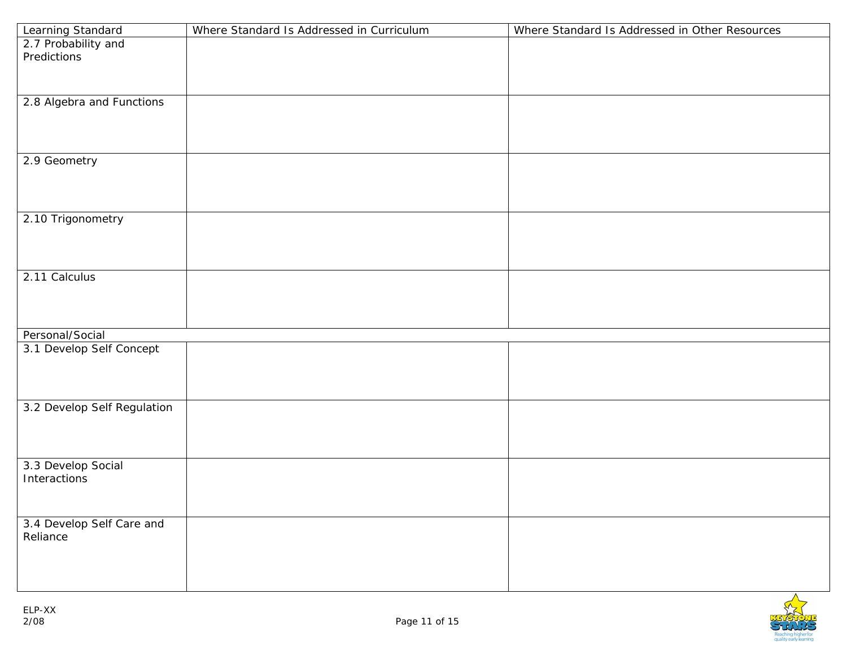| Predictions<br>2.8 Algebra and Functions<br>2.9 Geometry<br>2.10 Trigonometry<br>2.11 Calculus | Learning Standard   | Where Standard Is Addressed in Curriculum | Where Standard Is Addressed in Other Resources |
|------------------------------------------------------------------------------------------------|---------------------|-------------------------------------------|------------------------------------------------|
|                                                                                                | 2.7 Probability and |                                           |                                                |
|                                                                                                |                     |                                           |                                                |
|                                                                                                |                     |                                           |                                                |
|                                                                                                |                     |                                           |                                                |
|                                                                                                |                     |                                           |                                                |
|                                                                                                |                     |                                           |                                                |
|                                                                                                |                     |                                           |                                                |
|                                                                                                |                     |                                           |                                                |
|                                                                                                |                     |                                           |                                                |
|                                                                                                |                     |                                           |                                                |
|                                                                                                |                     |                                           |                                                |
|                                                                                                |                     |                                           |                                                |
|                                                                                                |                     |                                           |                                                |
|                                                                                                |                     |                                           |                                                |
|                                                                                                |                     |                                           |                                                |
|                                                                                                |                     |                                           |                                                |
|                                                                                                |                     |                                           |                                                |
|                                                                                                |                     |                                           |                                                |
|                                                                                                |                     |                                           |                                                |
| Personal/Social                                                                                |                     |                                           |                                                |
| 3.1 Develop Self Concept                                                                       |                     |                                           |                                                |
|                                                                                                |                     |                                           |                                                |
|                                                                                                |                     |                                           |                                                |
|                                                                                                |                     |                                           |                                                |
| 3.2 Develop Self Regulation                                                                    |                     |                                           |                                                |
|                                                                                                |                     |                                           |                                                |
|                                                                                                |                     |                                           |                                                |
|                                                                                                |                     |                                           |                                                |
| 3.3 Develop Social<br>Interactions                                                             |                     |                                           |                                                |
|                                                                                                |                     |                                           |                                                |
|                                                                                                |                     |                                           |                                                |
| 3.4 Develop Self Care and                                                                      |                     |                                           |                                                |
| Reliance                                                                                       |                     |                                           |                                                |
|                                                                                                |                     |                                           |                                                |
|                                                                                                |                     |                                           |                                                |
|                                                                                                |                     |                                           |                                                |

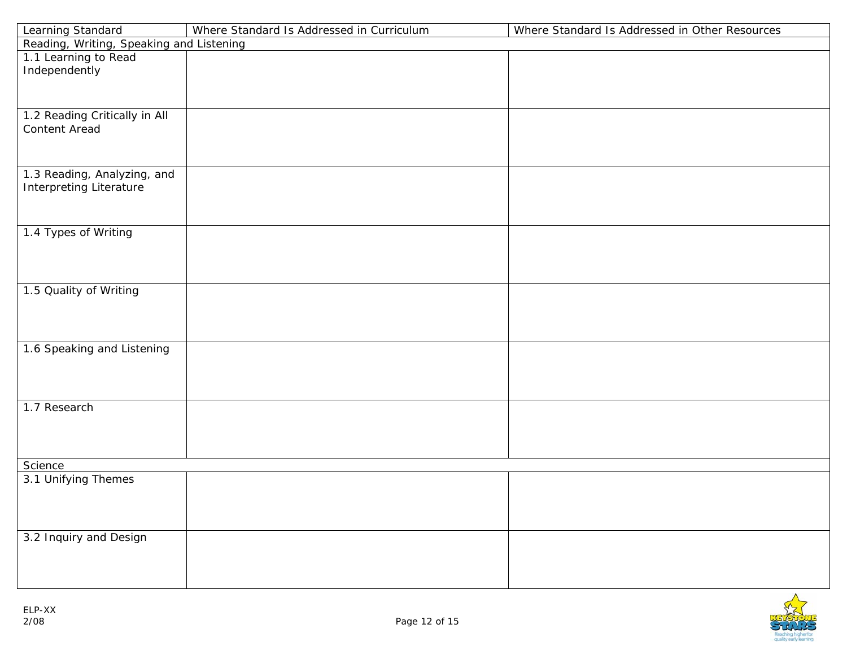| Learning Standard                                             | Where Standard Is Addressed in Curriculum | Where Standard Is Addressed in Other Resources |  |
|---------------------------------------------------------------|-------------------------------------------|------------------------------------------------|--|
| Reading, Writing, Speaking and Listening                      |                                           |                                                |  |
| 1.1 Learning to Read<br>Independently                         |                                           |                                                |  |
| 1.2 Reading Critically in All<br>Content Aread                |                                           |                                                |  |
|                                                               |                                           |                                                |  |
| 1.3 Reading, Analyzing, and<br><b>Interpreting Literature</b> |                                           |                                                |  |
| 1.4 Types of Writing                                          |                                           |                                                |  |
| 1.5 Quality of Writing                                        |                                           |                                                |  |
| 1.6 Speaking and Listening                                    |                                           |                                                |  |
| 1.7 Research                                                  |                                           |                                                |  |
| Science                                                       |                                           |                                                |  |
| 3.1 Unifying Themes                                           |                                           |                                                |  |
| 3.2 Inquiry and Design                                        |                                           |                                                |  |

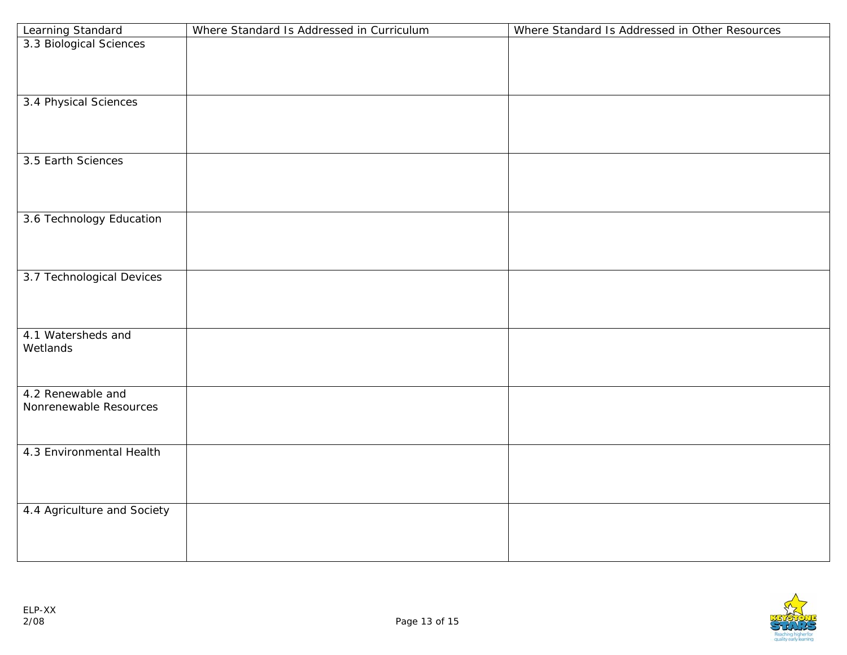|                                              | Where Standard Is Addressed in Curriculum | Where Standard Is Addressed in Other Resources |
|----------------------------------------------|-------------------------------------------|------------------------------------------------|
| Learning Standard<br>3.3 Biological Sciences |                                           |                                                |
|                                              |                                           |                                                |
|                                              |                                           |                                                |
|                                              |                                           |                                                |
| 3.4 Physical Sciences                        |                                           |                                                |
|                                              |                                           |                                                |
|                                              |                                           |                                                |
|                                              |                                           |                                                |
| 3.5 Earth Sciences                           |                                           |                                                |
|                                              |                                           |                                                |
|                                              |                                           |                                                |
|                                              |                                           |                                                |
| 3.6 Technology Education                     |                                           |                                                |
|                                              |                                           |                                                |
|                                              |                                           |                                                |
|                                              |                                           |                                                |
| 3.7 Technological Devices                    |                                           |                                                |
|                                              |                                           |                                                |
|                                              |                                           |                                                |
| 4.1 Watersheds and                           |                                           |                                                |
| Wetlands                                     |                                           |                                                |
|                                              |                                           |                                                |
|                                              |                                           |                                                |
| 4.2 Renewable and                            |                                           |                                                |
| Nonrenewable Resources                       |                                           |                                                |
|                                              |                                           |                                                |
|                                              |                                           |                                                |
| 4.3 Environmental Health                     |                                           |                                                |
|                                              |                                           |                                                |
|                                              |                                           |                                                |
|                                              |                                           |                                                |
| 4.4 Agriculture and Society                  |                                           |                                                |
|                                              |                                           |                                                |
|                                              |                                           |                                                |
|                                              |                                           |                                                |

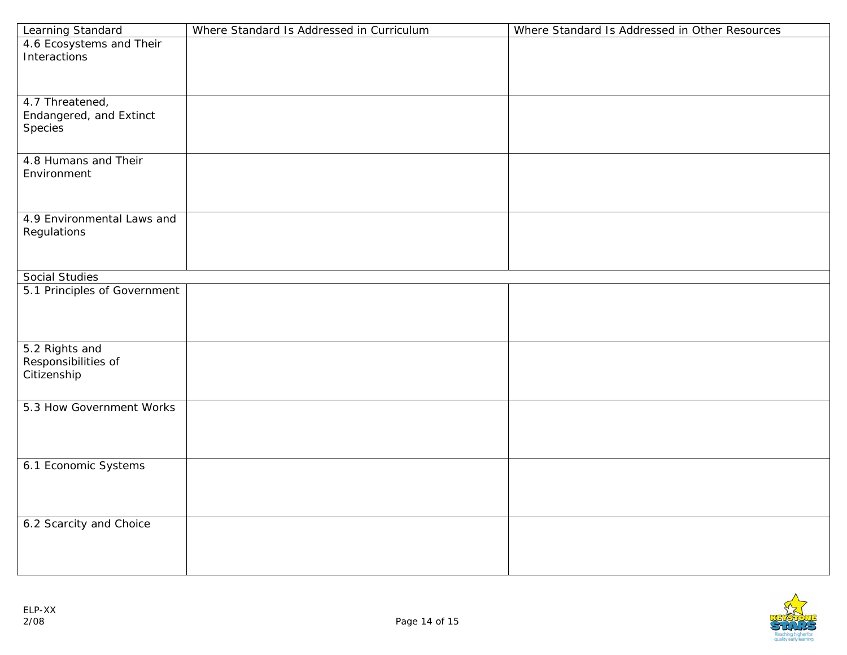| <b>Learning Standard</b>     | Where Standard Is Addressed in Curriculum | Where Standard Is Addressed in Other Resources |
|------------------------------|-------------------------------------------|------------------------------------------------|
| 4.6 Ecosystems and Their     |                                           |                                                |
| Interactions                 |                                           |                                                |
|                              |                                           |                                                |
|                              |                                           |                                                |
| 4.7 Threatened,              |                                           |                                                |
| Endangered, and Extinct      |                                           |                                                |
| Species                      |                                           |                                                |
|                              |                                           |                                                |
| 4.8 Humans and Their         |                                           |                                                |
| Environment                  |                                           |                                                |
|                              |                                           |                                                |
|                              |                                           |                                                |
|                              |                                           |                                                |
| 4.9 Environmental Laws and   |                                           |                                                |
| Regulations                  |                                           |                                                |
|                              |                                           |                                                |
|                              |                                           |                                                |
| Social Studies               |                                           |                                                |
| 5.1 Principles of Government |                                           |                                                |
|                              |                                           |                                                |
|                              |                                           |                                                |
|                              |                                           |                                                |
| 5.2 Rights and               |                                           |                                                |
| Responsibilities of          |                                           |                                                |
| Citizenship                  |                                           |                                                |
|                              |                                           |                                                |
| 5.3 How Government Works     |                                           |                                                |
|                              |                                           |                                                |
|                              |                                           |                                                |
|                              |                                           |                                                |
| 6.1 Economic Systems         |                                           |                                                |
|                              |                                           |                                                |
|                              |                                           |                                                |
|                              |                                           |                                                |
| 6.2 Scarcity and Choice      |                                           |                                                |
|                              |                                           |                                                |
|                              |                                           |                                                |
|                              |                                           |                                                |